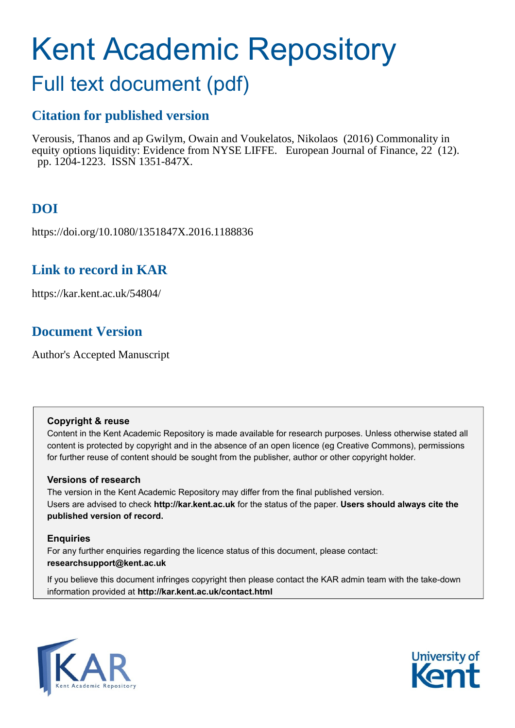# Kent Academic Repository

# Full text document (pdf)

## **Citation for published version**

Verousis, Thanos and ap Gwilym, Owain and Voukelatos, Nikolaos (2016) Commonality in equity options liquidity: Evidence from NYSE LIFFE. European Journal of Finance, 22 (12). pp. 1204-1223. ISSN 1351-847X.

# **DOI**

https://doi.org/10.1080/1351847X.2016.1188836

## **Link to record in KAR**

https://kar.kent.ac.uk/54804/

# **Document Version**

Author's Accepted Manuscript

#### **Copyright & reuse**

Content in the Kent Academic Repository is made available for research purposes. Unless otherwise stated all content is protected by copyright and in the absence of an open licence (eg Creative Commons), permissions for further reuse of content should be sought from the publisher, author or other copyright holder.

#### **Versions of research**

The version in the Kent Academic Repository may differ from the final published version. Users are advised to check **http://kar.kent.ac.uk** for the status of the paper. **Users should always cite the published version of record.**

#### **Enquiries**

For any further enquiries regarding the licence status of this document, please contact: **researchsupport@kent.ac.uk**

If you believe this document infringes copyright then please contact the KAR admin team with the take-down information provided at **http://kar.kent.ac.uk/contact.html**



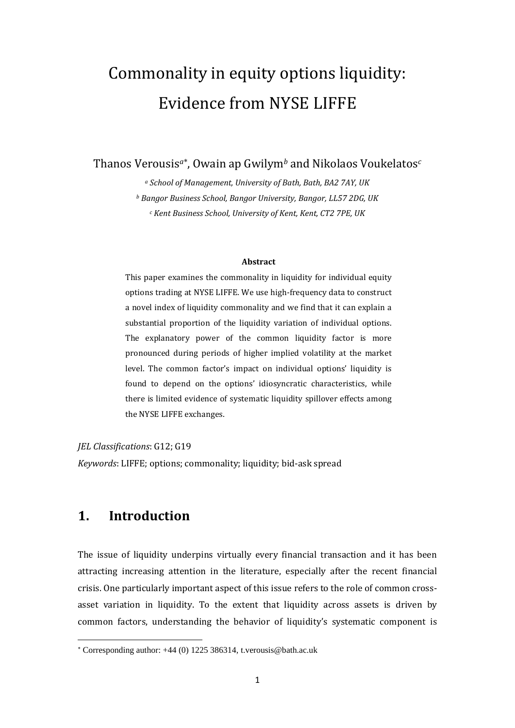# Commonality in equity options liquidity: Evidence from NYSE LIFFE

Thanos Verousis*a* , Owain ap Gwilym*<sup>b</sup>* and Nikolaos Voukelatos*<sup>c</sup>*

*<sup>a</sup> School of Management, University of Bath, Bath, BA2 7AY, UK <sup>b</sup> Bangor Business School, Bangor University, Bangor, LL57 2DG, UK <sup>c</sup> Kent Business School, University of Kent, Kent, CT2 7PE, UK*

#### **Abstract**

This paper examines the commonality in liquidity for individual equity options trading at NYSE LIFFE. We use high-frequency data to construct a novel index of liquidity commonality and we find that it can explain a substantial proportion of the liquidity variation of individual options. The explanatory power of the common liquidity factor is more pronounced during periods of higher implied volatility at the market level. The common factor's impact on individual options' liquidity is found to depend on the options' idiosyncratic characteristics, while there is limited evidence of systematic liquidity spillover effects among the NYSE LIFFE exchanges.

*JEL Classifications*: G12; G19

*Keywords*: LIFFE; options; commonality; liquidity; bid-ask spread

### **1. Introduction**

**.** 

The issue of liquidity underpins virtually every financial transaction and it has been attracting increasing attention in the literature, especially after the recent financial crisis. One particularly important aspect of this issue refers to the role of common crossasset variation in liquidity. To the extent that liquidity across assets is driven by common factors, understanding the behavior of liquidity's systematic component is

Corresponding author: +44 (0) 1225 386314, t.verousis@bath.ac.uk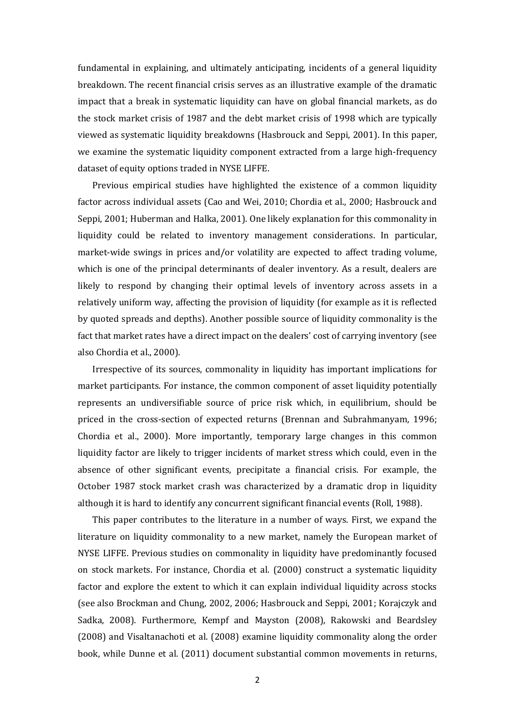fundamental in explaining, and ultimately anticipating, incidents of a general liquidity breakdown. The recent financial crisis serves as an illustrative example of the dramatic impact that a break in systematic liquidity can have on global financial markets, as do the stock market crisis of 1987 and the debt market crisis of 1998 which are typically viewed as systematic liquidity breakdowns (Hasbrouck and Seppi, 2001). In this paper, we examine the systematic liquidity component extracted from a large high-frequency dataset of equity options traded in NYSE LIFFE.

Previous empirical studies have highlighted the existence of a common liquidity factor across individual assets (Cao and Wei, 2010; Chordia et al., 2000; Hasbrouck and Seppi, 2001; Huberman and Halka, 2001). One likely explanation for this commonality in liquidity could be related to inventory management considerations. In particular, market-wide swings in prices and/or volatility are expected to affect trading volume, which is one of the principal determinants of dealer inventory. As a result, dealers are likely to respond by changing their optimal levels of inventory across assets in a relatively uniform way, affecting the provision of liquidity (for example as it is reflected by quoted spreads and depths). Another possible source of liquidity commonality is the fact that market rates have a direct impact on the dealers' cost of carrying inventory (see also Chordia et al., 2000).

Irrespective of its sources, commonality in liquidity has important implications for market participants. For instance, the common component of asset liquidity potentially represents an undiversifiable source of price risk which, in equilibrium, should be priced in the cross-section of expected returns (Brennan and Subrahmanyam, 1996; Chordia et al., 2000). More importantly, temporary large changes in this common liquidity factor are likely to trigger incidents of market stress which could, even in the absence of other significant events, precipitate a financial crisis. For example, the October 1987 stock market crash was characterized by a dramatic drop in liquidity although it is hard to identify any concurrent significant financial events (Roll, 1988).

This paper contributes to the literature in a number of ways. First, we expand the literature on liquidity commonality to a new market, namely the European market of NYSE LIFFE. Previous studies on commonality in liquidity have predominantly focused on stock markets. For instance, Chordia et al. (2000) construct a systematic liquidity factor and explore the extent to which it can explain individual liquidity across stocks (see also Brockman and Chung, 2002, 2006; Hasbrouck and Seppi, 2001; Korajczyk and Sadka, 2008). Furthermore, Kempf and Mayston (2008), Rakowski and Beardsley (2008) and Visaltanachoti et al. (2008) examine liquidity commonality along the order book, while Dunne et al. (2011) document substantial common movements in returns,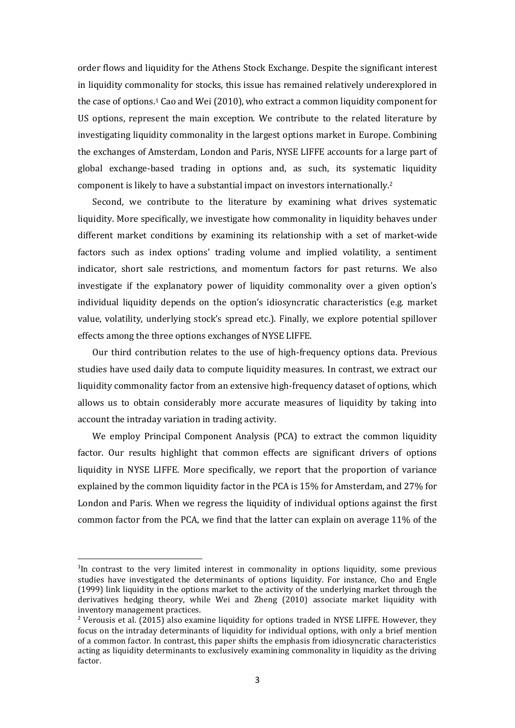order flows and liquidity for the Athens Stock Exchange. Despite the significant interest in liquidity commonality for stocks, this issue has remained relatively underexplored in the case of options.<sup>1</sup> Cao and Wei (2010), who extract a common liquidity component for US options, represent the main exception. We contribute to the related literature by investigating liquidity commonality in the largest options market in Europe. Combining the exchanges of Amsterdam, London and Paris, NYSE LIFFE accounts for a large part of global exchange-based trading in options and, as such, its systematic liquidity component is likely to have a substantial impact on investors internationally.<sup>2</sup>

Second, we contribute to the literature by examining what drives systematic liquidity. More specifically, we investigate how commonality in liquidity behaves under different market conditions by examining its relationship with a set of market-wide factors such as index options' trading volume and implied volatility, a sentiment indicator, short sale restrictions, and momentum factors for past returns. We also investigate if the explanatory power of liquidity commonality over a given option's individual liquidity depends on the option's idiosyncratic characteristics (e.g. market value, volatility, underlying stock's spread etc.). Finally, we explore potential spillover effects among the three options exchanges of NYSE LIFFE.

Our third contribution relates to the use of high-frequency options data. Previous studies have used daily data to compute liquidity measures. In contrast, we extract our liquidity commonality factor from an extensive high-frequency dataset of options, which allows us to obtain considerably more accurate measures of liquidity by taking into account the intraday variation in trading activity.

We employ Principal Component Analysis (PCA) to extract the common liquidity factor. Our results highlight that common effects are significant drivers of options liquidity in NYSE LIFFE. More specifically, we report that the proportion of variance explained by the common liquidity factor in the PCA is 15% for Amsterdam, and 27% for London and Paris. When we regress the liquidity of individual options against the first common factor from the PCA, we find that the latter can explain on average 11% of the

**.** 

<sup>&</sup>lt;sup>1</sup>In contrast to the very limited interest in commonality in options liquidity, some previous studies have investigated the determinants of options liquidity. For instance, Cho and Engle (1999) link liquidity in the options market to the activity of the underlying market through the derivatives hedging theory, while Wei and Zheng (2010) associate market liquidity with inventory management practices.

<sup>2</sup> Verousis et al. (2015) also examine liquidity for options traded in NYSE LIFFE. However, they focus on the intraday determinants of liquidity for individual options, with only a brief mention of a common factor. In contrast, this paper shifts the emphasis from idiosyncratic characteristics acting as liquidity determinants to exclusively examining commonality in liquidity as the driving factor.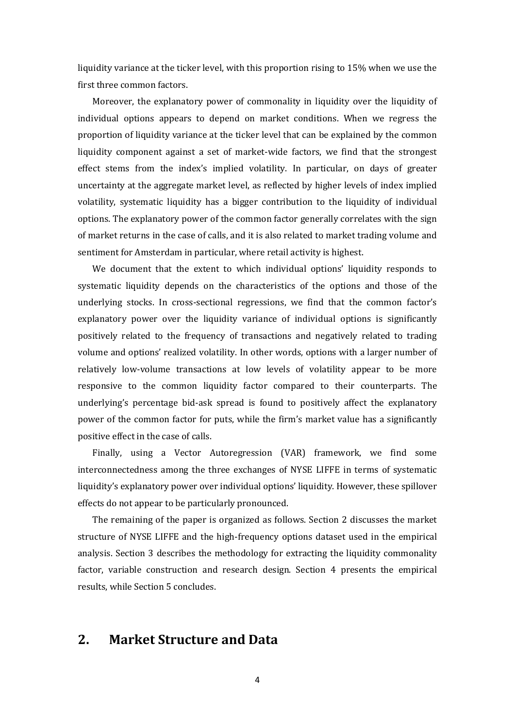liquidity variance at the ticker level, with this proportion rising to 15% when we use the first three common factors.

Moreover, the explanatory power of commonality in liquidity over the liquidity of individual options appears to depend on market conditions. When we regress the proportion of liquidity variance at the ticker level that can be explained by the common liquidity component against a set of market-wide factors, we find that the strongest effect stems from the index's implied volatility. In particular, on days of greater uncertainty at the aggregate market level, as reflected by higher levels of index implied volatility, systematic liquidity has a bigger contribution to the liquidity of individual options. The explanatory power of the common factor generally correlates with the sign of market returns in the case of calls, and it is also related to market trading volume and sentiment for Amsterdam in particular, where retail activity is highest.

We document that the extent to which individual options' liquidity responds to systematic liquidity depends on the characteristics of the options and those of the underlying stocks. In cross-sectional regressions, we find that the common factor's explanatory power over the liquidity variance of individual options is significantly positively related to the frequency of transactions and negatively related to trading volume and options' realized volatility. In other words, options with a larger number of relatively low-volume transactions at low levels of volatility appear to be more responsive to the common liquidity factor compared to their counterparts. The underlying's percentage bid-ask spread is found to positively affect the explanatory power of the common factor for puts, while the firm's market value has a significantly positive effect in the case of calls.

Finally, using a Vector Autoregression (VAR) framework, we find some interconnectedness among the three exchanges of NYSE LIFFE in terms of systematic liquidity's explanatory power over individual options' liquidity. However, these spillover effects do not appear to be particularly pronounced.

The remaining of the paper is organized as follows. Section 2 discusses the market structure of NYSE LIFFE and the high-frequency options dataset used in the empirical analysis. Section 3 describes the methodology for extracting the liquidity commonality factor, variable construction and research design. Section 4 presents the empirical results, while Section 5 concludes.

#### **2. Market Structure and Data**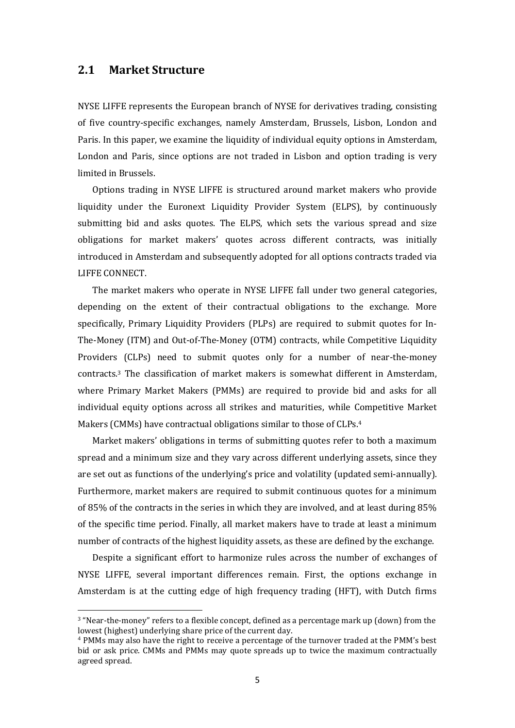#### **2.1 Market Structure**

**.** 

NYSE LIFFE represents the European branch of NYSE for derivatives trading, consisting of five country-specific exchanges, namely Amsterdam, Brussels, Lisbon, London and Paris. In this paper, we examine the liquidity of individual equity options in Amsterdam, London and Paris, since options are not traded in Lisbon and option trading is very limited in Brussels.

Options trading in NYSE LIFFE is structured around market makers who provide liquidity under the Euronext Liquidity Provider System (ELPS), by continuously submitting bid and asks quotes. The ELPS, which sets the various spread and size obligations for market makers' quotes across different contracts, was initially introduced in Amsterdam and subsequently adopted for all options contracts traded via LIFFE CONNECT.

The market makers who operate in NYSE LIFFE fall under two general categories, depending on the extent of their contractual obligations to the exchange. More specifically, Primary Liquidity Providers (PLPs) are required to submit quotes for In-The-Money (ITM) and Out-of-The-Money (OTM) contracts, while Competitive Liquidity Providers (CLPs) need to submit quotes only for a number of near-the-money contracts.<sup>3</sup> The classification of market makers is somewhat different in Amsterdam, where Primary Market Makers (PMMs) are required to provide bid and asks for all individual equity options across all strikes and maturities, while Competitive Market Makers (CMMs) have contractual obligations similar to those of CLPs.<sup>4</sup>

Market makers' obligations in terms of submitting quotes refer to both a maximum spread and a minimum size and they vary across different underlying assets, since they are set out as functions of the underlying's price and volatility (updated semi-annually). Furthermore, market makers are required to submit continuous quotes for a minimum of 85% of the contracts in the series in which they are involved, and at least during 85% of the specific time period. Finally, all market makers have to trade at least a minimum number of contracts of the highest liquidity assets, as these are defined by the exchange.

Despite a significant effort to harmonize rules across the number of exchanges of NYSE LIFFE, several important differences remain. First, the options exchange in Amsterdam is at the cutting edge of high frequency trading (HFT), with Dutch firms

<sup>3</sup> "Near-the-money" refers to a flexible concept, defined as a percentage mark up (down) from the lowest (highest) underlying share price of the current day.

<sup>4</sup> PMMs may also have the right to receive a percentage of the turnover traded at the PMM's best bid or ask price. CMMs and PMMs may quote spreads up to twice the maximum contractually agreed spread.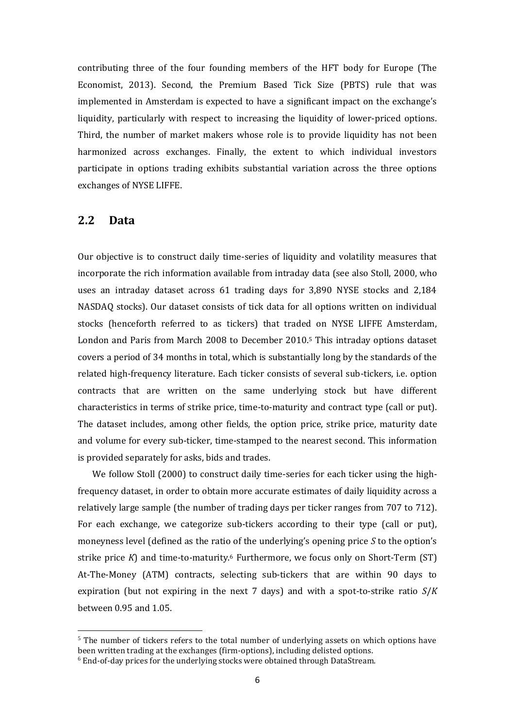contributing three of the four founding members of the HFT body for Europe (The Economist, 2013). Second, the Premium Based Tick Size (PBTS) rule that was implemented in Amsterdam is expected to have a significant impact on the exchange's liquidity, particularly with respect to increasing the liquidity of lower-priced options. Third, the number of market makers whose role is to provide liquidity has not been harmonized across exchanges. Finally, the extent to which individual investors participate in options trading exhibits substantial variation across the three options exchanges of NYSE LIFFE.

#### **2.2 Data**

**.** 

Our objective is to construct daily time-series of liquidity and volatility measures that incorporate the rich information available from intraday data (see also Stoll, 2000, who uses an intraday dataset across 61 trading days for 3,890 NYSE stocks and 2,184 NASDAQ stocks). Our dataset consists of tick data for all options written on individual stocks (henceforth referred to as tickers) that traded on NYSE LIFFE Amsterdam, London and Paris from March 2008 to December 2010.<sup>5</sup> This intraday options dataset covers a period of 34 months in total, which is substantially long by the standards of the related high-frequency literature. Each ticker consists of several sub-tickers, i.e. option contracts that are written on the same underlying stock but have different characteristics in terms of strike price, time-to-maturity and contract type (call or put). The dataset includes, among other fields, the option price, strike price, maturity date and volume for every sub-ticker, time-stamped to the nearest second. This information is provided separately for asks, bids and trades.

We follow Stoll (2000) to construct daily time-series for each ticker using the highfrequency dataset, in order to obtain more accurate estimates of daily liquidity across a relatively large sample (the number of trading days per ticker ranges from 707 to 712). For each exchange, we categorize sub-tickers according to their type (call or put), moneyness level (defined as the ratio of the underlying's opening price *S* to the option's strike price *K*) and time-to-maturity.<sup>6</sup> Furthermore, we focus only on Short-Term (ST) At-The-Money (ATM) contracts, selecting sub-tickers that are within 90 days to expiration (but not expiring in the next 7 days) and with a spot-to-strike ratio *S*/*K* between 0.95 and 1.05.

 $5$  The number of tickers refers to the total number of underlying assets on which options have been written trading at the exchanges (firm-options), including delisted options.

<sup>6</sup> End-of-day prices for the underlying stocks were obtained through DataStream.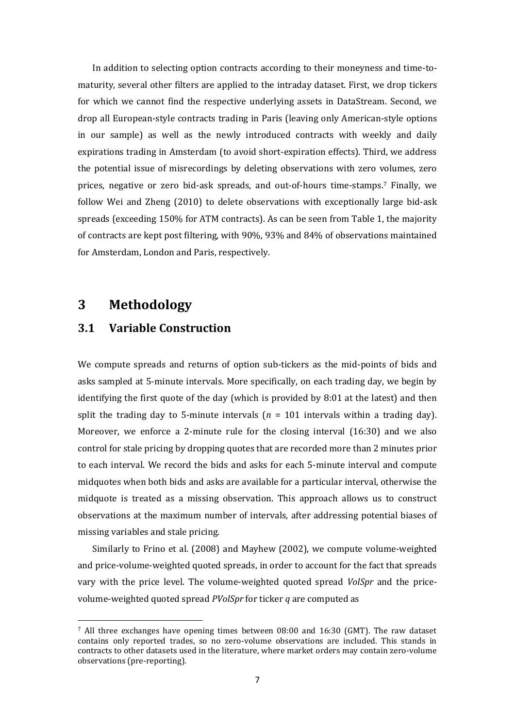In addition to selecting option contracts according to their moneyness and time-tomaturity, several other filters are applied to the intraday dataset. First, we drop tickers for which we cannot find the respective underlying assets in DataStream. Second, we drop all European-style contracts trading in Paris (leaving only American-style options in our sample) as well as the newly introduced contracts with weekly and daily expirations trading in Amsterdam (to avoid short-expiration effects). Third, we address the potential issue of misrecordings by deleting observations with zero volumes, zero prices, negative or zero bid-ask spreads, and out-of-hours time-stamps.<sup>7</sup> Finally, we follow Wei and Zheng (2010) to delete observations with exceptionally large bid-ask spreads (exceeding 150% for ATM contracts). As can be seen from Table 1, the majority of contracts are kept post filtering, with 90%, 93% and 84% of observations maintained for Amsterdam, London and Paris, respectively.

#### **3 Methodology**

1

#### **3.1 Variable Construction**

We compute spreads and returns of option sub-tickers as the mid-points of bids and asks sampled at 5-minute intervals. More specifically, on each trading day, we begin by identifying the first quote of the day (which is provided by 8:01 at the latest) and then split the trading day to 5-minute intervals  $(n = 101)$  intervals within a trading day). Moreover, we enforce a 2-minute rule for the closing interval (16:30) and we also control for stale pricing by dropping quotes that are recorded more than 2 minutes prior to each interval. We record the bids and asks for each 5-minute interval and compute midquotes when both bids and asks are available for a particular interval, otherwise the midquote is treated as a missing observation. This approach allows us to construct observations at the maximum number of intervals, after addressing potential biases of missing variables and stale pricing.

Similarly to Frino et al. (2008) and Mayhew (2002), we compute volume-weighted and price-volume-weighted quoted spreads, in order to account for the fact that spreads vary with the price level. The volume-weighted quoted spread *VolSpr* and the pricevolume-weighted quoted spread *PVolSpr* for ticker *q* are computed as

<sup>7</sup> All three exchanges have opening times between 08:00 and 16:30 (GMT). The raw dataset contains only reported trades, so no zero-volume observations are included. This stands in contracts to other datasets used in the literature, where market orders may contain zero-volume observations (pre-reporting).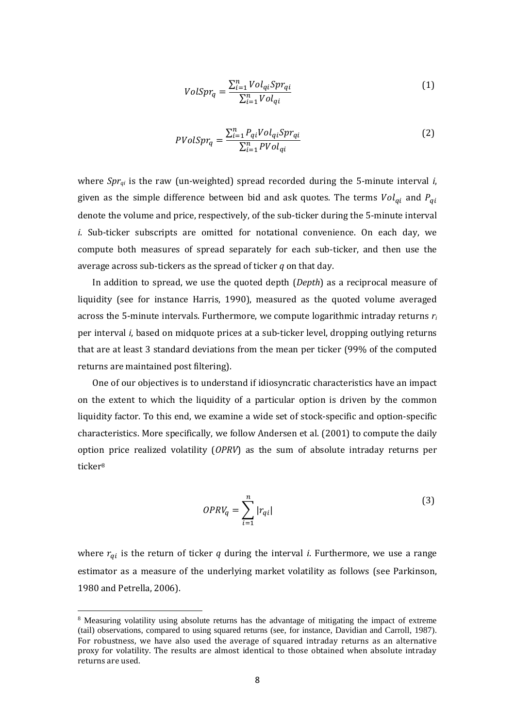$$
VolSpr_q = \frac{\sum_{i=1}^{n} Vol_{qi} Spr_{qi}}{\sum_{i=1}^{n} Vol_{qi}} \tag{1}
$$

$$
PVolSpr_q = \frac{\sum_{i=1}^{n} P_{qi} Vol_{qi} Spr_{qi}}{\sum_{i=1}^{n} PVol_{qi}}
$$
\n(2)

where *Sprqi* is the raw (un-weighted) spread recorded during the 5-minute interval *i*, given as the simple difference between bid and ask quotes. The terms  $Vol_{qi}$  and  $P_{qi}$ denote the volume and price, respectively, of the sub-ticker during the 5-minute interval *i*. Sub-ticker subscripts are omitted for notational convenience. On each day, we compute both measures of spread separately for each sub-ticker, and then use the average across sub-tickers as the spread of ticker *q* on that day.

In addition to spread, we use the quoted depth (*Depth*) as a reciprocal measure of liquidity (see for instance Harris, 1990), measured as the quoted volume averaged across the 5-minute intervals. Furthermore, we compute logarithmic intraday returns *r<sup>i</sup>* per interval *i*, based on midquote prices at a sub-ticker level, dropping outlying returns that are at least 3 standard deviations from the mean per ticker (99% of the computed returns are maintained post filtering).

One of our objectives is to understand if idiosyncratic characteristics have an impact on the extent to which the liquidity of a particular option is driven by the common liquidity factor. To this end, we examine a wide set of stock-specific and option-specific characteristics. More specifically, we follow Andersen et al. (2001) to compute the daily option price realized volatility (*OPRV*) as the sum of absolute intraday returns per ticker<sup>8</sup>

$$
OPRV_q = \sum_{i=1}^{n} |r_{qi}|
$$
\n(3)

where  $r_{qi}$  is the return of ticker  $q$  during the interval  $i$ . Furthermore, we use a range estimator as a measure of the underlying market volatility as follows (see Parkinson, 1980 and Petrella, 2006).

1

<sup>&</sup>lt;sup>8</sup> Measuring volatility using absolute returns has the advantage of mitigating the impact of extreme (tail) observations, compared to using squared returns (see, for instance, Davidian and Carroll, 1987). For robustness, we have also used the average of squared intraday returns as an alternative proxy for volatility. The results are almost identical to those obtained when absolute intraday returns are used.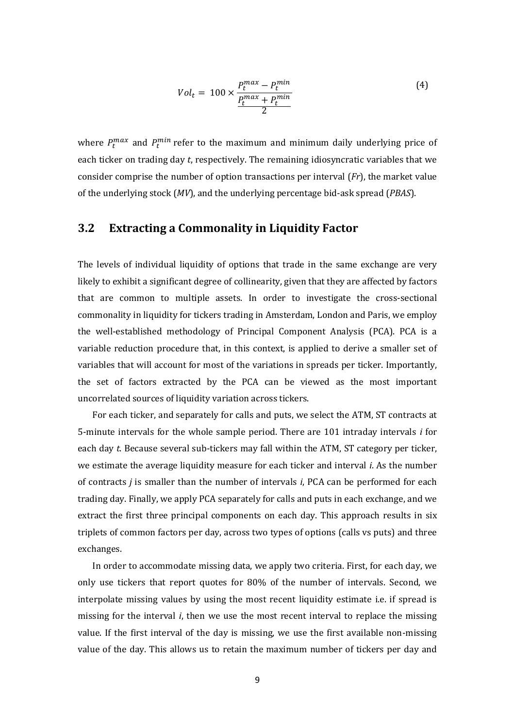$$
Vol_t = 100 \times \frac{P_t^{max} - P_t^{min}}{\frac{P_t^{max} + P_t^{min}}{2}}
$$
 (4)

where  $P_t^{max}$  and  $P_t^{min}$  refer to the maximum and minimum daily underlying price of each ticker on trading day *t*, respectively. The remaining idiosyncratic variables that we consider comprise the number of option transactions per interval (*Fr*), the market value of the underlying stock (*MV*), and the underlying percentage bid-ask spread (*PBAS*).

#### **3.2 Extracting a Commonality in Liquidity Factor**

The levels of individual liquidity of options that trade in the same exchange are very likely to exhibit a significant degree of collinearity, given that they are affected by factors that are common to multiple assets. In order to investigate the cross-sectional commonality in liquidity for tickers trading in Amsterdam, London and Paris, we employ the well-established methodology of Principal Component Analysis (PCA). PCA is a variable reduction procedure that, in this context, is applied to derive a smaller set of variables that will account for most of the variations in spreads per ticker. Importantly, the set of factors extracted by the PCA can be viewed as the most important uncorrelated sources of liquidity variation across tickers.

For each ticker, and separately for calls and puts, we select the ATM, ST contracts at 5-minute intervals for the whole sample period. There are 101 intraday intervals *i* for each day *t*. Because several sub-tickers may fall within the ATM, ST category per ticker, we estimate the average liquidity measure for each ticker and interval *i*. As the number of contracts *j* is smaller than the number of intervals *i*, PCA can be performed for each trading day. Finally, we apply PCA separately for calls and puts in each exchange, and we extract the first three principal components on each day. This approach results in six triplets of common factors per day, across two types of options (calls vs puts) and three exchanges.

In order to accommodate missing data, we apply two criteria. First, for each day, we only use tickers that report quotes for 80% of the number of intervals. Second, we interpolate missing values by using the most recent liquidity estimate i.e. if spread is missing for the interval *i*, then we use the most recent interval to replace the missing value. If the first interval of the day is missing, we use the first available non-missing value of the day. This allows us to retain the maximum number of tickers per day and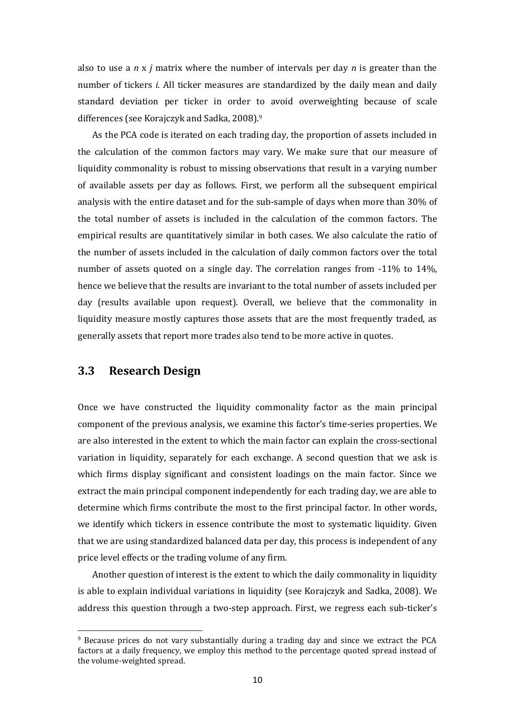also to use a *n* x *j* matrix where the number of intervals per day *n* is greater than the number of tickers *i*. All ticker measures are standardized by the daily mean and daily standard deviation per ticker in order to avoid overweighting because of scale differences (see Korajczyk and Sadka, 2008).<sup>9</sup>

As the PCA code is iterated on each trading day, the proportion of assets included in the calculation of the common factors may vary. We make sure that our measure of liquidity commonality is robust to missing observations that result in a varying number of available assets per day as follows. First, we perform all the subsequent empirical analysis with the entire dataset and for the sub-sample of days when more than 30% of the total number of assets is included in the calculation of the common factors. The empirical results are quantitatively similar in both cases. We also calculate the ratio of the number of assets included in the calculation of daily common factors over the total number of assets quoted on a single day. The correlation ranges from -11% to 14%, hence we believe that the results are invariant to the total number of assets included per day (results available upon request). Overall, we believe that the commonality in liquidity measure mostly captures those assets that are the most frequently traded, as generally assets that report more trades also tend to be more active in quotes.

#### **3.3 Research Design**

**.** 

Once we have constructed the liquidity commonality factor as the main principal component of the previous analysis, we examine this factor's time-series properties. We are also interested in the extent to which the main factor can explain the cross-sectional variation in liquidity, separately for each exchange. A second question that we ask is which firms display significant and consistent loadings on the main factor. Since we extract the main principal component independently for each trading day, we are able to determine which firms contribute the most to the first principal factor. In other words, we identify which tickers in essence contribute the most to systematic liquidity. Given that we are using standardized balanced data per day, this process is independent of any price level effects or the trading volume of any firm.

Another question of interest is the extent to which the daily commonality in liquidity is able to explain individual variations in liquidity (see Korajczyk and Sadka, 2008). We address this question through a two-step approach. First, we regress each sub-ticker's

<sup>&</sup>lt;sup>9</sup> Because prices do not vary substantially during a trading day and since we extract the PCA factors at a daily frequency, we employ this method to the percentage quoted spread instead of the volume-weighted spread.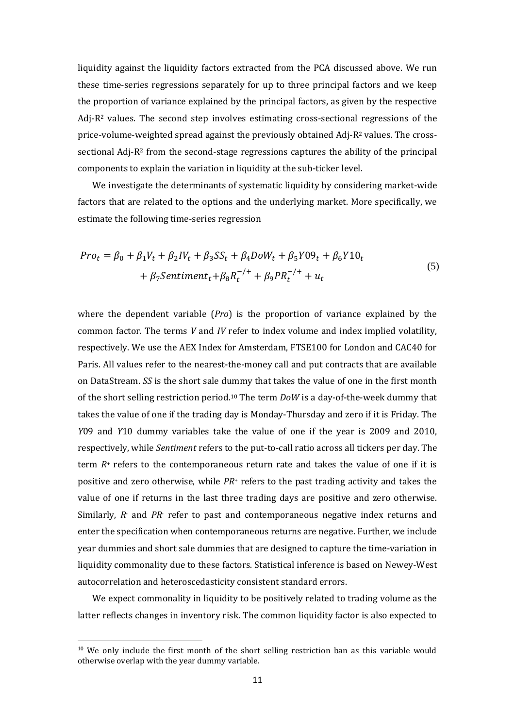liquidity against the liquidity factors extracted from the PCA discussed above. We run these time-series regressions separately for up to three principal factors and we keep the proportion of variance explained by the principal factors, as given by the respective Adj-R<sup>2</sup> values. The second step involves estimating cross-sectional regressions of the price-volume-weighted spread against the previously obtained Adj-R<sup>2</sup> values. The crosssectional Adj-R<sup>2</sup> from the second-stage regressions captures the ability of the principal components to explain the variation in liquidity at the sub-ticker level.

We investigate the determinants of systematic liquidity by considering market-wide factors that are related to the options and the underlying market. More specifically, we estimate the following time-series regression

$$
Pro_{t} = \beta_{0} + \beta_{1}V_{t} + \beta_{2}IV_{t} + \beta_{3}SS_{t} + \beta_{4}DoW_{t} + \beta_{5}Y09_{t} + \beta_{6}Y10_{t}
$$
  
+  $\beta_{7}Sentiment_{t} + \beta_{8}R_{t}^{-/+} + \beta_{9}PR_{t}^{-/+} + u_{t}$  (5)

where the dependent variable (*Pro*) is the proportion of variance explained by the common factor. The terms *V* and *IV* refer to index volume and index implied volatility, respectively. We use the AEX Index for Amsterdam, FTSE100 for London and CAC40 for Paris. All values refer to the nearest-the-money call and put contracts that are available on DataStream. *SS* is the short sale dummy that takes the value of one in the first month of the short selling restriction period.<sup>10</sup> The term *DoW* is a day-of-the-week dummy that takes the value of one if the trading day is Monday-Thursday and zero if it is Friday. The *Y*09 and *Y*10 dummy variables take the value of one if the year is 2009 and 2010, respectively, while *Sentiment* refers to the put-to-call ratio across all tickers per day. The term *R*<sup>+</sup> refers to the contemporaneous return rate and takes the value of one if it is positive and zero otherwise, while *PR*<sup>+</sup> refers to the past trading activity and takes the value of one if returns in the last three trading days are positive and zero otherwise. Similarly, *R*- and *PR*- refer to past and contemporaneous negative index returns and enter the specification when contemporaneous returns are negative. Further, we include year dummies and short sale dummies that are designed to capture the time-variation in liquidity commonality due to these factors. Statistical inference is based on Newey-West autocorrelation and heteroscedasticity consistent standard errors.

We expect commonality in liquidity to be positively related to trading volume as the latter reflects changes in inventory risk. The common liquidity factor is also expected to

**.** 

 $10$  We only include the first month of the short selling restriction ban as this variable would otherwise overlap with the year dummy variable.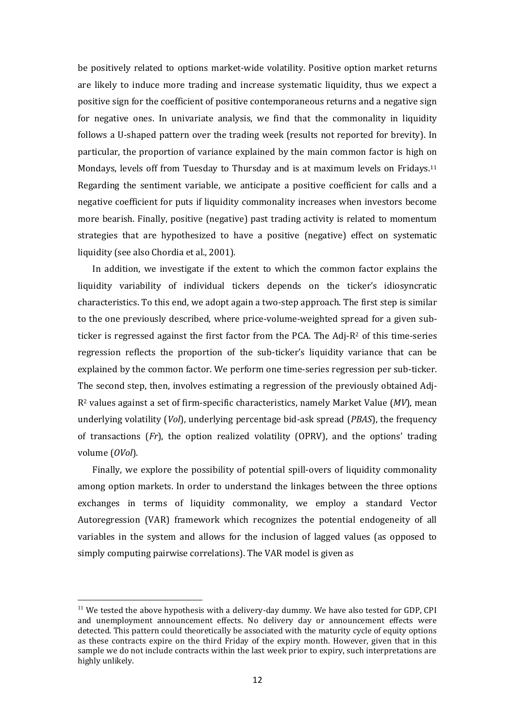be positively related to options market-wide volatility. Positive option market returns are likely to induce more trading and increase systematic liquidity, thus we expect a positive sign for the coefficient of positive contemporaneous returns and a negative sign for negative ones. In univariate analysis, we find that the commonality in liquidity follows a U-shaped pattern over the trading week (results not reported for brevity). In particular, the proportion of variance explained by the main common factor is high on Mondays, levels off from Tuesday to Thursday and is at maximum levels on Fridays.<sup>11</sup> Regarding the sentiment variable, we anticipate a positive coefficient for calls and a negative coefficient for puts if liquidity commonality increases when investors become more bearish. Finally, positive (negative) past trading activity is related to momentum strategies that are hypothesized to have a positive (negative) effect on systematic liquidity (see also Chordia et al., 2001).

In addition, we investigate if the extent to which the common factor explains the liquidity variability of individual tickers depends on the ticker's idiosyncratic characteristics. To this end, we adopt again a two-step approach. The first step is similar to the one previously described, where price-volume-weighted spread for a given subticker is regressed against the first factor from the PCA. The Adj-R<sup>2</sup> of this time-series regression reflects the proportion of the sub-ticker's liquidity variance that can be explained by the common factor. We perform one time-series regression per sub-ticker. The second step, then, involves estimating a regression of the previously obtained Adj-R<sup>2</sup> values against a set of firm-specific characteristics, namely Market Value (*MV*), mean underlying volatility (*Vol*), underlying percentage bid-ask spread (*PBAS*), the frequency of transactions (*Fr*), the option realized volatility (OPRV), and the options' trading volume (*OVol*).

Finally, we explore the possibility of potential spill-overs of liquidity commonality among option markets. In order to understand the linkages between the three options exchanges in terms of liquidity commonality, we employ a standard Vector Autoregression (VAR) framework which recognizes the potential endogeneity of all variables in the system and allows for the inclusion of lagged values (as opposed to simply computing pairwise correlations). The VAR model is given as

**.** 

 $11$  We tested the above hypothesis with a delivery-day dummy. We have also tested for GDP, CPI and unemployment announcement effects. No delivery day or announcement effects were detected. This pattern could theoretically be associated with the maturity cycle of equity options as these contracts expire on the third Friday of the expiry month. However, given that in this sample we do not include contracts within the last week prior to expiry, such interpretations are highly unlikely.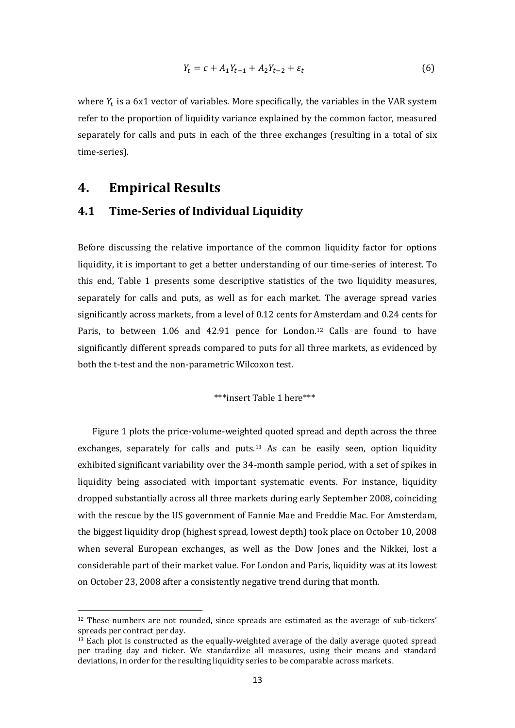$$
Y_t = c + A_1 Y_{t-1} + A_2 Y_{t-2} + \varepsilon_t \tag{6}
$$

where  $Y_t$  is a 6x1 vector of variables. More specifically, the variables in the VAR system refer to the proportion of liquidity variance explained by the common factor, measured separately for calls and puts in each of the three exchanges (resulting in a total of six time-series).

#### **4. Empirical Results**

**.** 

#### **4.1 Time-Series of Individual Liquidity**

Before discussing the relative importance of the common liquidity factor for options liquidity, it is important to get a better understanding of our time-series of interest. To this end, Table 1 presents some descriptive statistics of the two liquidity measures, separately for calls and puts, as well as for each market. The average spread varies significantly across markets, from a level of 0.12 cents for Amsterdam and 0.24 cents for Paris, to between 1.06 and 42.91 pence for London.<sup>12</sup> Calls are found to have significantly different spreads compared to puts for all three markets, as evidenced by both the t-test and the non-parametric Wilcoxon test.

#### \*\*\*insert Table 1 here\*\*\*

Figure 1 plots the price-volume-weighted quoted spread and depth across the three exchanges, separately for calls and puts.<sup>13</sup> As can be easily seen, option liquidity exhibited significant variability over the 34-month sample period, with a set of spikes in liquidity being associated with important systematic events. For instance, liquidity dropped substantially across all three markets during early September 2008, coinciding with the rescue by the US government of Fannie Mae and Freddie Mac. For Amsterdam, the biggest liquidity drop (highest spread, lowest depth) took place on October 10, 2008 when several European exchanges, as well as the Dow Jones and the Nikkei, lost a considerable part of their market value. For London and Paris, liquidity was at its lowest on October 23, 2008 after a consistently negative trend during that month.

 $12$  These numbers are not rounded, since spreads are estimated as the average of sub-tickers' spreads per contract per day.

 $13$  Each plot is constructed as the equally-weighted average of the daily average quoted spread per trading day and ticker. We standardize all measures, using their means and standard deviations, in order for the resulting liquidity series to be comparable across markets.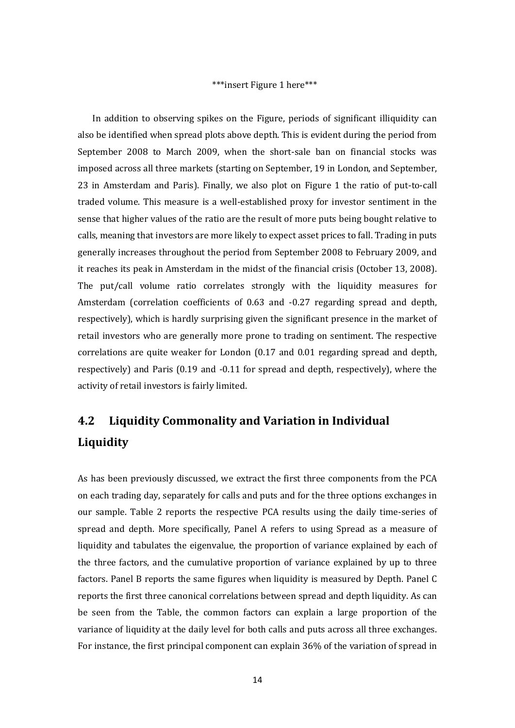#### \*\*\*insert Figure 1 here\*\*\*

In addition to observing spikes on the Figure, periods of significant illiquidity can also be identified when spread plots above depth. This is evident during the period from September 2008 to March 2009, when the short-sale ban on financial stocks was imposed across all three markets (starting on September, 19 in London, and September, 23 in Amsterdam and Paris). Finally, we also plot on Figure 1 the ratio of put-to-call traded volume. This measure is a well-established proxy for investor sentiment in the sense that higher values of the ratio are the result of more puts being bought relative to calls, meaning that investors are more likely to expect asset prices to fall. Trading in puts generally increases throughout the period from September 2008 to February 2009, and it reaches its peak in Amsterdam in the midst of the financial crisis (October 13, 2008). The put/call volume ratio correlates strongly with the liquidity measures for Amsterdam (correlation coefficients of 0.63 and -0.27 regarding spread and depth, respectively), which is hardly surprising given the significant presence in the market of retail investors who are generally more prone to trading on sentiment. The respective correlations are quite weaker for London (0.17 and 0.01 regarding spread and depth, respectively) and Paris (0.19 and -0.11 for spread and depth, respectively), where the activity of retail investors is fairly limited.

# **4.2 Liquidity Commonality and Variation in Individual Liquidity**

As has been previously discussed, we extract the first three components from the PCA on each trading day, separately for calls and puts and for the three options exchanges in our sample. Table 2 reports the respective PCA results using the daily time-series of spread and depth. More specifically, Panel A refers to using Spread as a measure of liquidity and tabulates the eigenvalue, the proportion of variance explained by each of the three factors, and the cumulative proportion of variance explained by up to three factors. Panel B reports the same figures when liquidity is measured by Depth. Panel C reports the first three canonical correlations between spread and depth liquidity. As can be seen from the Table, the common factors can explain a large proportion of the variance of liquidity at the daily level for both calls and puts across all three exchanges. For instance, the first principal component can explain 36% of the variation of spread in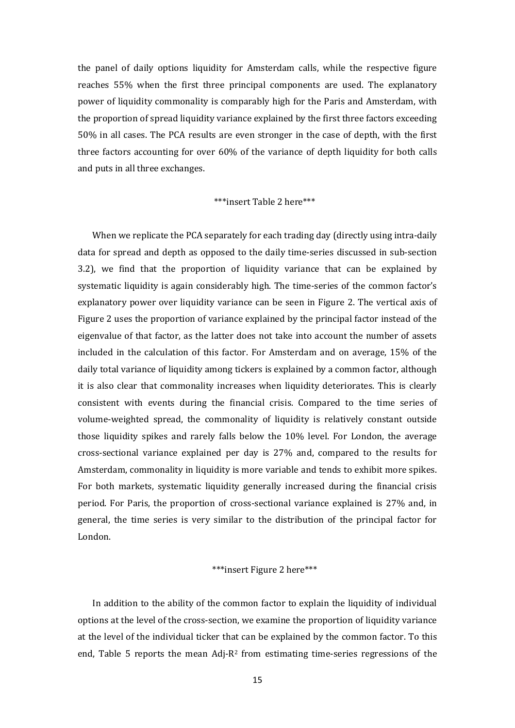the panel of daily options liquidity for Amsterdam calls, while the respective figure reaches 55% when the first three principal components are used. The explanatory power of liquidity commonality is comparably high for the Paris and Amsterdam, with the proportion of spread liquidity variance explained by the first three factors exceeding 50% in all cases. The PCA results are even stronger in the case of depth, with the first three factors accounting for over 60% of the variance of depth liquidity for both calls and puts in all three exchanges.

#### \*\*\*insert Table 2 here\*\*\*

When we replicate the PCA separately for each trading day (directly using intra-daily data for spread and depth as opposed to the daily time-series discussed in sub-section 3.2), we find that the proportion of liquidity variance that can be explained by systematic liquidity is again considerably high. The time-series of the common factor's explanatory power over liquidity variance can be seen in Figure 2. The vertical axis of Figure 2 uses the proportion of variance explained by the principal factor instead of the eigenvalue of that factor, as the latter does not take into account the number of assets included in the calculation of this factor. For Amsterdam and on average, 15% of the daily total variance of liquidity among tickers is explained by a common factor, although it is also clear that commonality increases when liquidity deteriorates. This is clearly consistent with events during the financial crisis. Compared to the time series of volume-weighted spread, the commonality of liquidity is relatively constant outside those liquidity spikes and rarely falls below the 10% level. For London, the average cross-sectional variance explained per day is 27% and, compared to the results for Amsterdam, commonality in liquidity is more variable and tends to exhibit more spikes. For both markets, systematic liquidity generally increased during the financial crisis period. For Paris, the proportion of cross-sectional variance explained is 27% and, in general, the time series is very similar to the distribution of the principal factor for London.

#### \*\*\*insert Figure 2 here\*\*\*

In addition to the ability of the common factor to explain the liquidity of individual options at the level of the cross-section, we examine the proportion of liquidity variance at the level of the individual ticker that can be explained by the common factor. To this end, Table 5 reports the mean Adj- $R^2$  from estimating time-series regressions of the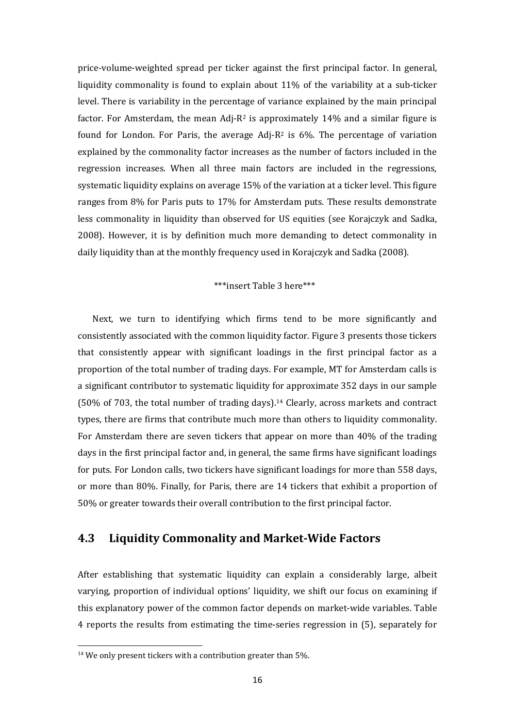price-volume-weighted spread per ticker against the first principal factor. In general, liquidity commonality is found to explain about 11% of the variability at a sub-ticker level. There is variability in the percentage of variance explained by the main principal factor. For Amsterdam, the mean Adj-R<sup>2</sup> is approximately 14% and a similar figure is found for London. For Paris, the average Adj- $R^2$  is 6%. The percentage of variation explained by the commonality factor increases as the number of factors included in the regression increases. When all three main factors are included in the regressions, systematic liquidity explains on average 15% of the variation at a ticker level. This figure ranges from 8% for Paris puts to 17% for Amsterdam puts. These results demonstrate less commonality in liquidity than observed for US equities (see Korajczyk and Sadka, 2008). However, it is by definition much more demanding to detect commonality in daily liquidity than at the monthly frequency used in Korajczyk and Sadka (2008).

#### \*\*\*insert Table 3 here\*\*\*

Next, we turn to identifying which firms tend to be more significantly and consistently associated with the common liquidity factor. Figure 3 presents those tickers that consistently appear with significant loadings in the first principal factor as a proportion of the total number of trading days. For example, MT for Amsterdam calls is a significant contributor to systematic liquidity for approximate 352 days in our sample (50% of 703, the total number of trading days).<sup>14</sup> Clearly, across markets and contract types, there are firms that contribute much more than others to liquidity commonality. For Amsterdam there are seven tickers that appear on more than 40% of the trading days in the first principal factor and, in general, the same firms have significant loadings for puts. For London calls, two tickers have significant loadings for more than 558 days, or more than 80%. Finally, for Paris, there are 14 tickers that exhibit a proportion of 50% or greater towards their overall contribution to the first principal factor.

#### **4.3 Liquidity Commonality and Market-Wide Factors**

After establishing that systematic liquidity can explain a considerably large, albeit varying, proportion of individual options' liquidity, we shift our focus on examining if this explanatory power of the common factor depends on market-wide variables. Table 4 reports the results from estimating the time-series regression in (5), separately for

1

 $14$  We only present tickers with a contribution greater than 5%.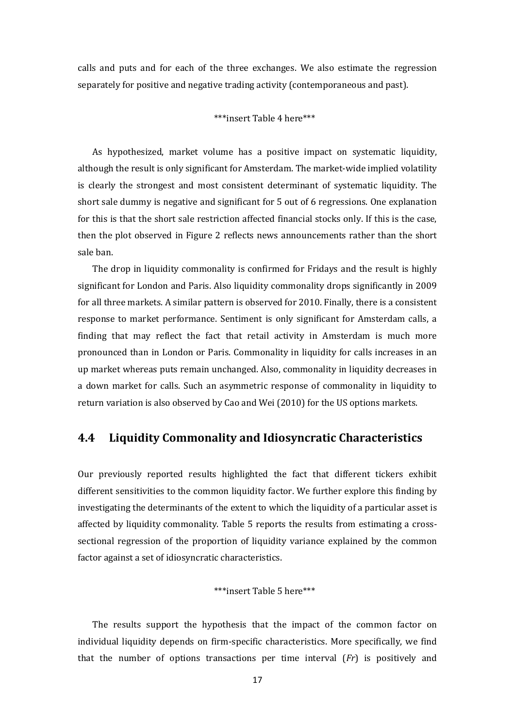calls and puts and for each of the three exchanges. We also estimate the regression separately for positive and negative trading activity (contemporaneous and past).

#### \*\*\*insert Table 4 here\*\*\*

As hypothesized, market volume has a positive impact on systematic liquidity, although the result is only significant for Amsterdam. The market-wide implied volatility is clearly the strongest and most consistent determinant of systematic liquidity. The short sale dummy is negative and significant for 5 out of 6 regressions. One explanation for this is that the short sale restriction affected financial stocks only. If this is the case, then the plot observed in Figure 2 reflects news announcements rather than the short sale ban.

The drop in liquidity commonality is confirmed for Fridays and the result is highly significant for London and Paris. Also liquidity commonality drops significantly in 2009 for all three markets. A similar pattern is observed for 2010. Finally, there is a consistent response to market performance. Sentiment is only significant for Amsterdam calls, a finding that may reflect the fact that retail activity in Amsterdam is much more pronounced than in London or Paris. Commonality in liquidity for calls increases in an up market whereas puts remain unchanged. Also, commonality in liquidity decreases in a down market for calls. Such an asymmetric response of commonality in liquidity to return variation is also observed by Cao and Wei (2010) for the US options markets.

#### **4.4 Liquidity Commonality and Idiosyncratic Characteristics**

Our previously reported results highlighted the fact that different tickers exhibit different sensitivities to the common liquidity factor. We further explore this finding by investigating the determinants of the extent to which the liquidity of a particular asset is affected by liquidity commonality. Table 5 reports the results from estimating a crosssectional regression of the proportion of liquidity variance explained by the common factor against a set of idiosyncratic characteristics.

#### \*\*\*insert Table 5 here\*\*\*

The results support the hypothesis that the impact of the common factor on individual liquidity depends on firm-specific characteristics. More specifically, we find that the number of options transactions per time interval (*Fr*) is positively and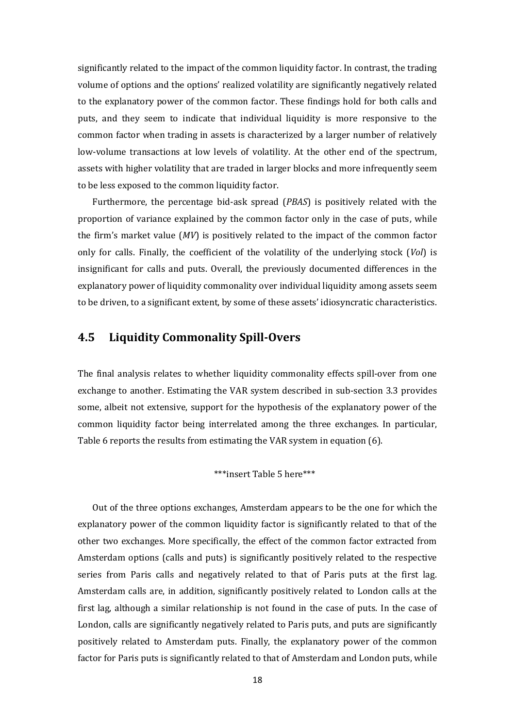significantly related to the impact of the common liquidity factor. In contrast, the trading volume of options and the options' realized volatility are significantly negatively related to the explanatory power of the common factor. These findings hold for both calls and puts, and they seem to indicate that individual liquidity is more responsive to the common factor when trading in assets is characterized by a larger number of relatively low-volume transactions at low levels of volatility. At the other end of the spectrum, assets with higher volatility that are traded in larger blocks and more infrequently seem to be less exposed to the common liquidity factor.

Furthermore, the percentage bid-ask spread (*PBAS*) is positively related with the proportion of variance explained by the common factor only in the case of puts, while the firm's market value (*MV*) is positively related to the impact of the common factor only for calls. Finally, the coefficient of the volatility of the underlying stock (*Vol*) is insignificant for calls and puts. Overall, the previously documented differences in the explanatory power of liquidity commonality over individual liquidity among assets seem to be driven, to a significant extent, by some of these assets' idiosyncratic characteristics.

#### **4.5 Liquidity Commonality Spill-Overs**

The final analysis relates to whether liquidity commonality effects spill-over from one exchange to another. Estimating the VAR system described in sub-section 3.3 provides some, albeit not extensive, support for the hypothesis of the explanatory power of the common liquidity factor being interrelated among the three exchanges. In particular, Table 6 reports the results from estimating the VAR system in equation (6).

#### \*\*\*insert Table 5 here\*\*\*

Out of the three options exchanges, Amsterdam appears to be the one for which the explanatory power of the common liquidity factor is significantly related to that of the other two exchanges. More specifically, the effect of the common factor extracted from Amsterdam options (calls and puts) is significantly positively related to the respective series from Paris calls and negatively related to that of Paris puts at the first lag. Amsterdam calls are, in addition, significantly positively related to London calls at the first lag, although a similar relationship is not found in the case of puts. In the case of London, calls are significantly negatively related to Paris puts, and puts are significantly positively related to Amsterdam puts. Finally, the explanatory power of the common factor for Paris puts is significantly related to that of Amsterdam and London puts, while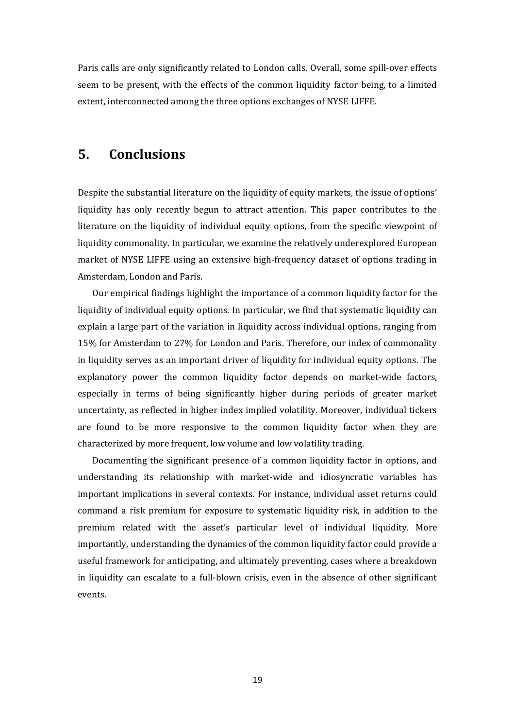Paris calls are only significantly related to London calls. Overall, some spill-over effects seem to be present, with the effects of the common liquidity factor being, to a limited extent, interconnected among the three options exchanges of NYSE LIFFE.

#### **5. Conclusions**

Despite the substantial literature on the liquidity of equity markets, the issue of options' liquidity has only recently begun to attract attention. This paper contributes to the literature on the liquidity of individual equity options, from the specific viewpoint of liquidity commonality. In particular, we examine the relatively underexplored European market of NYSE LIFFE using an extensive high-frequency dataset of options trading in Amsterdam, London and Paris.

Our empirical findings highlight the importance of a common liquidity factor for the liquidity of individual equity options. In particular, we find that systematic liquidity can explain a large part of the variation in liquidity across individual options, ranging from 15% for Amsterdam to 27% for London and Paris. Therefore, our index of commonality in liquidity serves as an important driver of liquidity for individual equity options. The explanatory power the common liquidity factor depends on market-wide factors, especially in terms of being significantly higher during periods of greater market uncertainty, as reflected in higher index implied volatility. Moreover, individual tickers are found to be more responsive to the common liquidity factor when they are characterized by more frequent, low volume and low volatility trading.

Documenting the significant presence of a common liquidity factor in options, and understanding its relationship with market-wide and idiosyncratic variables has important implications in several contexts. For instance, individual asset returns could command a risk premium for exposure to systematic liquidity risk, in addition to the premium related with the asset's particular level of individual liquidity. More importantly, understanding the dynamics of the common liquidity factor could provide a useful framework for anticipating, and ultimately preventing, cases where a breakdown in liquidity can escalate to a full-blown crisis, even in the absence of other significant events.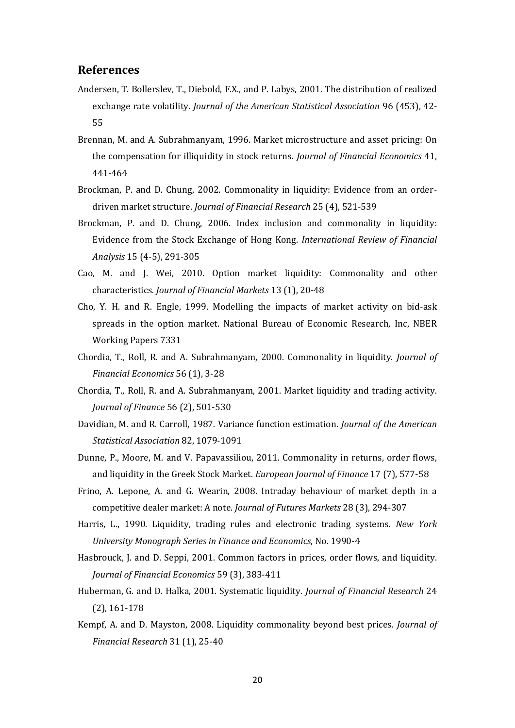#### **References**

- Andersen, T. Bollerslev, T., Diebold, F.X., and P. Labys, 2001. The distribution of realized exchange rate volatility. *Journal of the American Statistical Association* 96 (453), 42- 55
- Brennan, M. and A. Subrahmanyam, 1996. Market microstructure and asset pricing: On the compensation for illiquidity in stock returns. *Journal of Financial Economics* 41, 441-464
- Brockman, P. and D. Chung, 2002. Commonality in liquidity: Evidence from an orderdriven market structure. *Journal of Financial Research* 25 (4), 521-539
- Brockman, P. and D. Chung, 2006. Index inclusion and commonality in liquidity: Evidence from the Stock Exchange of Hong Kong. *International Review of Financial Analysis* 15 (4-5), 291-305
- Cao, M. and J. Wei, 2010. Option market liquidity: Commonality and other characteristics. *Journal of Financial Markets* 13 (1), 20-48
- Cho, Y. H. and R. Engle, 1999. Modelling the impacts of market activity on bid-ask spreads in the option market. National Bureau of Economic Research, Inc, NBER Working Papers 7331
- Chordia, T., Roll, R. and A. Subrahmanyam, 2000. Commonality in liquidity. *Journal of Financial Economics* 56 (1), 3-28
- Chordia, T., Roll, R. and A. Subrahmanyam, 2001. Market liquidity and trading activity. *Journal of Finance* 56 (2), 501-530
- Davidian, M. and R. Carroll, 1987. Variance function estimation. *Journal of the American Statistical Association* 82, 1079-1091
- Dunne, P., Moore, M. and V. Papavassiliou, 2011. Commonality in returns, order flows, and liquidity in the Greek Stock Market. *European Journal of Finance* 17 (7), 577-58
- Frino, A. Lepone, A. and G. Wearin, 2008. Intraday behaviour of market depth in a competitive dealer market: A note. *Journal of Futures Markets* 28 (3), 294-307
- Harris, L., 1990. Liquidity, trading rules and electronic trading systems. *New York University Monograph Series in Finance and Economics*, No. 1990-4
- Hasbrouck, J. and D. Seppi, 2001. Common factors in prices, order flows, and liquidity. *Journal of Financial Economics* 59 (3), 383-411
- Huberman, G. and D. Halka, 2001. Systematic liquidity. *Journal of Financial Research* 24 (2), 161-178
- Kempf, A. and D. Mayston, 2008. Liquidity commonality beyond best prices. *Journal of Financial Research* 31 (1), 25-40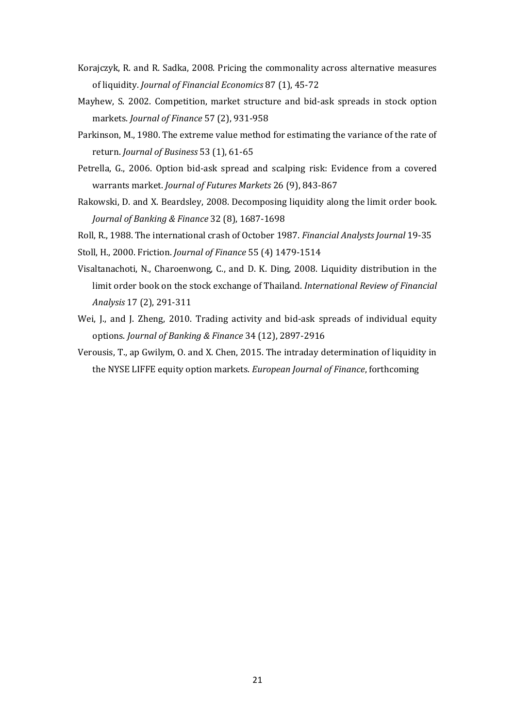- Korajczyk, R. and R. Sadka, 2008. Pricing the commonality across alternative measures of liquidity. *Journal of Financial Economics* 87 (1), 45-72
- Mayhew, S. 2002. Competition, market structure and bid-ask spreads in stock option markets. *Journal of Finance* 57 (2), 931-958
- Parkinson, M., 1980. The extreme value method for estimating the variance of the rate of return. *Journal of Business* 53 (1), 61-65
- Petrella, G., 2006. Option bid-ask spread and scalping risk: Evidence from a covered warrants market. *Journal of Futures Markets* 26 (9), 843-867
- Rakowski, D. and X. Beardsley, 2008. Decomposing liquidity along the limit order book. *Journal of Banking & Finance* 32 (8), 1687-1698

Roll, R., 1988. The international crash of October 1987. *Financial Analysts Journal* 19-35

Stoll, H., 2000. Friction. *Journal of Finance* 55 (4) 1479-1514

- Visaltanachoti, N., Charoenwong, C., and D. K. Ding, 2008. Liquidity distribution in the limit order book on the stock exchange of Thailand. *International Review of Financial Analysis* 17 (2), 291-311
- Wei, J., and J. Zheng, 2010. Trading activity and bid-ask spreads of individual equity options. *Journal of Banking & Finance* 34 (12), 2897-2916
- Verousis, T., ap Gwilym, O. and X. Chen, 2015. The intraday determination of liquidity in the NYSE LIFFE equity option markets. *European Journal of Finance*, forthcoming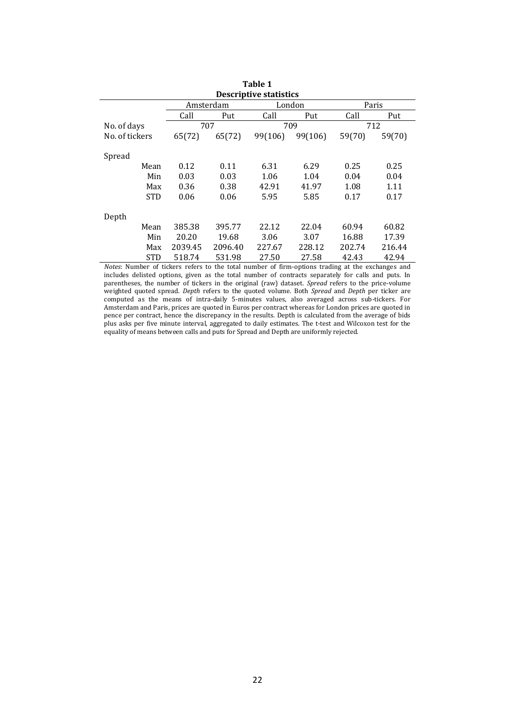| <b>Descriptive statistics</b> |         |           |         |         |        |        |  |  |  |  |
|-------------------------------|---------|-----------|---------|---------|--------|--------|--|--|--|--|
|                               |         | Amsterdam |         | Paris   |        |        |  |  |  |  |
|                               | Call    | Put       |         | Put     | Call   | Put    |  |  |  |  |
| No. of days                   |         | 707       |         | 709     | 712    |        |  |  |  |  |
| No. of tickers                | 65(72)  | 65(72)    | 99(106) | 99(106) | 59(70) | 59(70) |  |  |  |  |
| Spread                        |         |           |         |         |        |        |  |  |  |  |
| Mean                          | 0.12    | 0.11      | 6.31    | 6.29    | 0.25   | 0.25   |  |  |  |  |
|                               |         |           |         |         |        |        |  |  |  |  |
| Min                           | 0.03    | 0.03      | 1.06    | 1.04    | 0.04   | 0.04   |  |  |  |  |
| Max                           | 0.36    | 0.38      | 42.91   | 41.97   | 1.08   | 1.11   |  |  |  |  |
| <b>STD</b>                    | 0.06    | 0.06      | 5.95    | 5.85    | 0.17   | 0.17   |  |  |  |  |
| Depth                         |         |           |         |         |        |        |  |  |  |  |
| Mean                          | 385.38  | 395.77    | 22.12   | 22.04   | 60.94  | 60.82  |  |  |  |  |
| Min                           | 20.20   | 19.68     | 3.06    | 3.07    | 16.88  | 17.39  |  |  |  |  |
| Max                           | 2039.45 | 2096.40   | 227.67  | 228.12  | 202.74 | 216.44 |  |  |  |  |
| <b>STD</b>                    | 518.74  | 531.98    | 27.50   | 27.58   | 42.43  | 42.94  |  |  |  |  |

STD 518.74 531.98 27.50 27.58 42.43 42.94 *Notes*: Number of tickers refers to the total number of firm-options trading at the exchanges and includes delisted options, given as the total number of contracts separately for calls and puts. In parentheses, the number of tickers in the original (raw) dataset. *Spread* refers to the price-volume weighted quoted spread. *Depth* refers to the quoted volume. Both *Spread* and *Depth* per ticker are computed as the means of intra-daily 5-minutes values, also averaged across sub-tickers. For Amsterdam and Paris, prices are quoted in Euros per contract whereas for London prices are quoted in pence per contract, hence the discrepancy in the results. Depth is calculated from the average of bids plus asks per five minute interval, aggregated to daily estimates. The t-test and Wilcoxon test for the equality of means between calls and puts for Spread and Depth are uniformly rejected.

# **Table 1**

j.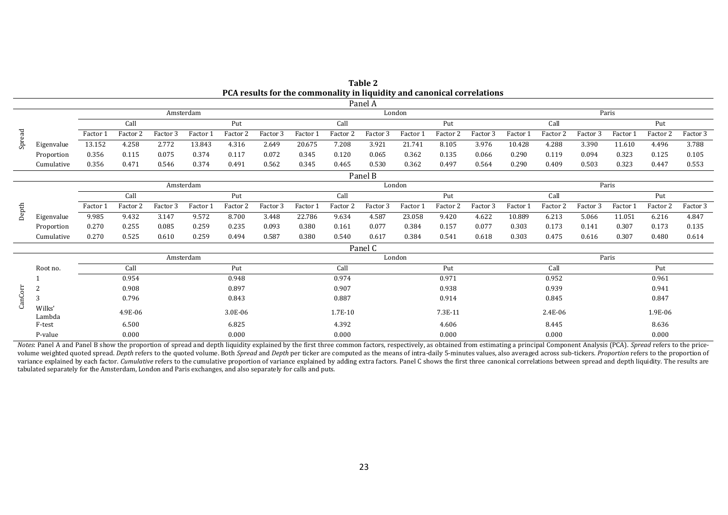| Table 2                                                                 |
|-------------------------------------------------------------------------|
| PCA results for the commonality in liquidity and canonical correlations |

|           | Panel A          |             |          |          |           |                     |          |          |          |          |          |          |          |          |                     |          |          |          |          |
|-----------|------------------|-------------|----------|----------|-----------|---------------------|----------|----------|----------|----------|----------|----------|----------|----------|---------------------|----------|----------|----------|----------|
| Amsterdam |                  |             |          |          |           |                     | London   |          |          |          |          |          | Paris    |          |                     |          |          |          |          |
|           |                  | Call<br>Put |          |          |           | Call                |          |          | Put      |          | Call     |          | Put      |          |                     |          |          |          |          |
| Spread    |                  | Factor 1    | Factor 2 | Factor 3 | Factor 1  | Factor <sub>2</sub> | Factor 3 | Factor 1 | Factor 2 | Factor 3 | Factor 1 | Factor 2 | Factor 3 | Factor 1 | Factor <sub>2</sub> | Factor 3 | Factor 1 | Factor 2 | Factor 3 |
|           | Eigenvalue       | 13.152      | 4.258    | 2.772    | 13.843    | 4.316               | 2.649    | 20.675   | 7.208    | 3.921    | 21.741   | 8.105    | 3.976    | 10.428   | 4.288               | 3.390    | 11.610   | 4.496    | 3.788    |
|           | Proportion       | 0.356       | 0.115    | 0.075    | 0.374     | 0.117               | 0.072    | 0.345    | 0.120    | 0.065    | 0.362    | 0.135    | 0.066    | 0.290    | 0.119               | 0.094    | 0.323    | 0.125    | 0.105    |
|           | Cumulative       | 0.356       | 0.471    | 0.546    | 0.374     | 0.491               | 0.562    | 0.345    | 0.465    | 0.530    | 0.362    | 0.497    | 0.564    | 0.290    | 0.409               | 0.503    | 0.323    | 0.447    | 0.553    |
|           |                  |             |          |          |           |                     |          |          |          | Panel B  |          |          |          |          |                     |          |          |          |          |
|           |                  |             |          |          | Amsterdam |                     |          |          |          |          | London   |          |          |          |                     |          | Paris    |          |          |
| Depth     |                  |             | Call     |          |           | Put                 |          |          | Call     |          |          | Put      |          |          | Call                |          |          | Put      |          |
|           |                  | Factor 1    | Factor 2 | Factor 3 | Factor    | Factor 2            | Factor 3 | Factor 1 | Factor 2 | Factor 3 | Factor 1 | Factor 2 | Factor 3 | Factor 1 | Factor 2            | Factor 3 | Factor 1 | Factor 2 | Factor 3 |
|           | Eigenvalue       | 9.985       | 9.432    | 3.147    | 9.572     | 8.700               | 3.448    | 22.786   | 9.634    | 4.587    | 23.058   | 9.420    | 4.622    | 10.889   | 6.213               | 5.066    | 11.051   | 6.216    | 4.847    |
|           | Proportion       | 0.270       | 0.255    | 0.085    | 0.259     | 0.235               | 0.093    | 0.380    | 0.161    | 0.077    | 0.384    | 0.157    | 0.077    | 0.303    | 0.173               | 0.141    | 0.307    | 0.173    | 0.135    |
|           | Cumulative       | 0.270       | 0.525    | 0.610    | 0.259     | 0.494               | 0.587    | 0.380    | 0.540    | 0.617    | 0.384    | 0.541    | 0.618    | 0.303    | 0.475               | 0.616    | 0.307    | 0.480    | 0.614    |
|           |                  |             |          |          |           |                     |          |          |          | Panel C  |          |          |          |          |                     |          |          |          |          |
|           |                  |             |          |          | Amsterdam |                     |          |          |          |          | London   |          |          |          |                     |          | Paris    |          |          |
|           | Root no.         |             | Call     |          |           | Put                 |          |          | Call     |          |          | Put      |          |          | Call                |          |          | Put      |          |
|           |                  |             | 0.954    |          |           | 0.948               |          |          | 0.974    |          |          | 0.971    |          |          | 0.952               |          |          | 0.961    |          |
|           | $\overline{2}$   |             | 0.908    |          |           | 0.897               |          |          | 0.907    |          |          | 0.938    |          |          | 0.939               |          |          | 0.941    |          |
| CanCorr   | 3                |             | 0.796    |          |           | 0.843               |          |          | 0.887    |          |          | 0.914    |          |          | 0.845               |          |          | 0.847    |          |
|           | Wilks'<br>Lambda |             | 4.9E-06  |          |           | 3.0E-06             |          |          | 1.7E-10  |          |          | 7.3E-11  |          |          | 2.4E-06             |          |          | 1.9E-06  |          |
|           | F-test           |             | 6.500    |          |           | 6.825               |          |          | 4.392    |          |          | 4.606    |          |          | 8.445               |          |          | 8.636    |          |
|           | P-value          |             | 0.000    |          |           | 0.000               |          |          | 0.000    |          |          | 0.000    |          |          | 0.000               |          |          | 0.000    |          |

Notes: Panel A and Panel B show the proportion of spread and depth liquidity explained by the first three common factors, respectively, as obtained from estimating a principal Component Analysis (PCA). Spread refers to the volume weighted quoted spread. Depth refers to the quoted volume. Both Spread and Depth per ticker are computed as the means of intra-daily 5-minutes values, also averaged across sub-tickers. Proportion refers to the propo variance explained by each factor. Cumulative refers to the cumulative proportion of variance explained by adding extra factors. Panel C shows the first three canonical correlations between spread and depth liquidity. The tabulated separately for the Amsterdam, London and Paris exchanges, and also separately for calls and puts.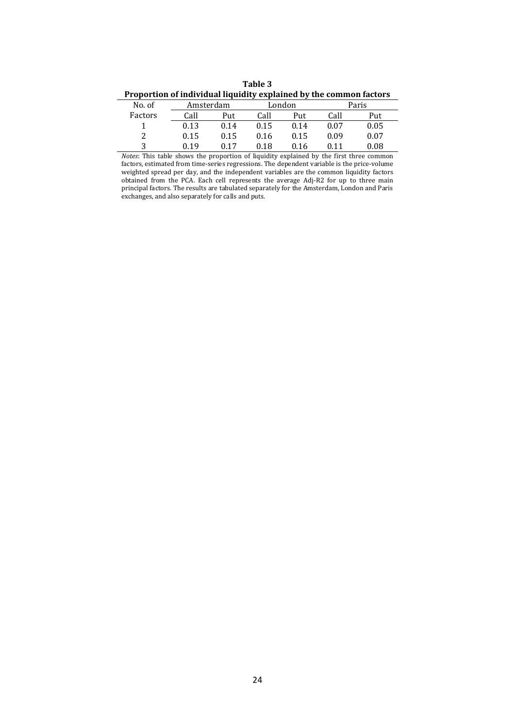**Table 3 Proportion of individual liquidity explained by the common factors**

| No. of  | Amsterdam |      |      | London |      | Paris |  |  |
|---------|-----------|------|------|--------|------|-------|--|--|
| Factors | Call      | Put  | Call | Put    | Call | Put   |  |  |
|         | 0.13      | 0.14 | 0.15 | 0.14   | 0.07 | 0.05  |  |  |
| າ       | 0.15      | 0.15 | 0.16 | 0.15   | 0.09 | 0.07  |  |  |
| 2       | በ 19      |      | 0.18 | 0.16   |      | 0.08  |  |  |

*Notes*: This table shows the proportion of liquidity explained by the first three common factors, estimated from time-series regressions. The dependent variable is the price-volume weighted spread per day, and the independent variables are the common liquidity factors obtained from the PCA. Each cell represents the average Adj-R2 for up to three main principal factors. The results are tabulated separately for the Amsterdam, London and Paris exchanges, and also separately for calls and puts.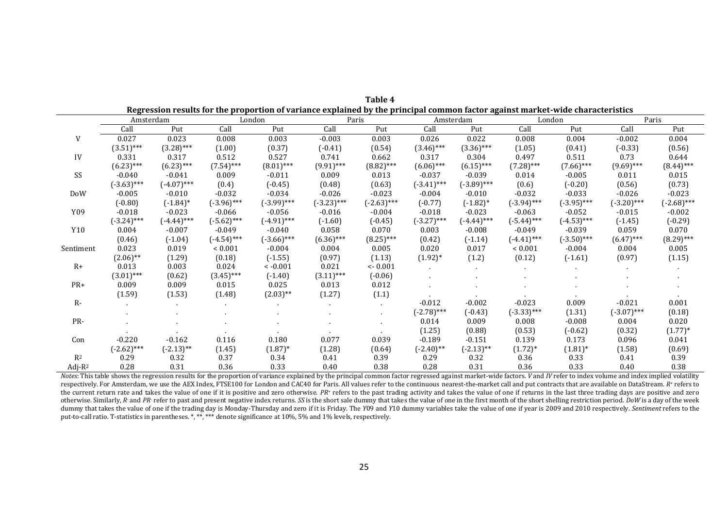|            | Amsterdam     |               |               | London        |              | Paris         |               | Amsterdam     |                | London        |               | Paris         |  |
|------------|---------------|---------------|---------------|---------------|--------------|---------------|---------------|---------------|----------------|---------------|---------------|---------------|--|
|            | Call          | Put           | Call          | Put           | Call         | Put           | Call          | Put           | Call           | Put           | Call          | Put           |  |
| V          | 0.027         | 0.023         | 0.008         | 0.003         | $-0.003$     | 0.003         | 0.026         | 0.022         | 0.008          | 0.004         | $-0.002$      | 0.004         |  |
|            | $(3.51)$ ***  | $(3.28)$ ***  | (1.00)        | (0.37)        | $(-0.41)$    | (0.54)        | $(3.46)$ ***  | $(3.36)$ ***  | (1.05)         | (0.41)        | $(-0.33)$     | (0.56)        |  |
| IV         | 0.331         | 0.317         | 0.512         | 0.527         | 0.741        | 0.662         | 0.317         | 0.304         | 0.497          | 0.511         | 0.73          | 0.644         |  |
|            | $(6.23)$ ***  | $(6.23)$ ***  | $(7.54)$ ***  | $(8.01)$ ***  | $(9.91)$ *** | $(8.82)$ ***  | $(6.06)$ ***  | $(6.15)$ ***  | $(7.28)$ ***   | $(7.66)$ ***  | $(9.69)$ ***  | $(8.44)$ ***  |  |
| SS         | $-0.040$      | $-0.041$      | 0.009         | $-0.011$      | 0.009        | 0.013         | $-0.037$      | $-0.039$      | 0.014          | $-0.005$      | 0.011         | 0.015         |  |
|            | $(-3.63)$ *** | $(-4.07)$ *** | (0.4)         | $(-0.45)$     | (0.48)       | (0.63)        | $(-3.41)$ *** | $(-3.89)$ *** | (0.6)          | $(-0.20)$     | (0.56)        | (0.73)        |  |
| DoW        | $-0.005$      | $-0.010$      | $-0.032$      | $-0.034$      | $-0.026$     | $-0.023$      | $-0.004$      | $-0.010$      | $-0.032$       | $-0.033$      | $-0.026$      | $-0.023$      |  |
|            | $(-0.80)$     | $(-1.84)^*$   | $(-3.96)$ *** | $(-3.99)$ *** | $(-3.23)***$ | $(-2.63)$ *** | $(-0.77)$     | $(-1.82)$ *   | $(-3.94)$ ***  | $(-3.95)$ *** | $(-3.20)$ *** | $(-2.68)$ *** |  |
| Y09        | $-0.018$      | $-0.023$      | $-0.066$      | $-0.056$      | $-0.016$     | $-0.004$      | $-0.018$      | $-0.023$      | $-0.063$       | $-0.052$      | $-0.015$      | $-0.002$      |  |
|            | $(-3.24)$ *** | $(-4.44)$ *** | $(-5.62)$ *** | $(-4.91)$ *** | $(-1.60)$    | $(-0.45)$     | $(-3.27)$ *** | $(-4.44)$ *** | $(-5.44)$ ***  | $(-4.53)$ *** | $(-1.45)$     | $(-0.29)$     |  |
| Y10        | 0.004         | $-0.007$      | $-0.049$      | $-0.040$      | 0.058        | 0.070         | 0.003         | $-0.008$      | $-0.049$       | $-0.039$      | 0.059         | 0.070         |  |
|            | (0.46)        | $(-1.04)$     | $(-4.54)$ *** | $(-3.66)$ *** | $(6.36)$ *** | $(8.25)$ ***  | (0.42)        | $(-1.14)$     | $(-4.41)$ ***  | $(-3.50)$ *** | $(6.47)$ ***  | $(8.29)$ ***  |  |
| Sentiment  | 0.023         | 0.019         | ${}< 0.001$   | $-0.004$      | 0.004        | 0.005         | 0.020         | 0.017         | ${}_{< 0.001}$ | $-0.004$      | 0.004         | 0.005         |  |
|            | $(2.06)$ **   | (1.29)        | (0.18)        | $(-1.55)$     | (0.97)       | (1.13)        | $(1.92)^*$    | (1.2)         | (0.12)         | $(-1.61)$     | (0.97)        | (1.15)        |  |
| $R+$       | 0.013         | 0.003         | 0.024         | $< -0.001$    | 0.021        | $<-0.001$     |               |               |                |               |               |               |  |
|            | $(3.01)$ ***  | (0.62)        | $(3.45)$ ***  | $(-1.40)$     | $(3.11)$ *** | $(-0.06)$     |               |               |                |               |               |               |  |
| $PR+$      | 0.009         | 0.009         | 0.015         | 0.025         | 0.013        | 0.012         |               |               |                |               |               |               |  |
|            | (1.59)        | (1.53)        | (1.48)        | $(2.03)$ **   | (1.27)       | (1.1)         |               |               |                |               |               |               |  |
| $R-$       |               |               |               |               |              | $\sim$        | $-0.012$      | $-0.002$      | $-0.023$       | 0.009         | $-0.021$      | 0.001         |  |
|            |               |               |               |               |              | $\bullet$     | $(-2.78)***$  | $(-0.43)$     | $(-3.33)$ ***  | (1.31)        | $(-3.07)$ *** | (0.18)        |  |
| PR-        |               |               |               |               |              |               | 0.014         | 0.009         | 0.008          | $-0.008$      | 0.004         | 0.020         |  |
|            |               |               |               |               |              |               | (1.25)        | (0.88)        | (0.53)         | $(-0.62)$     | (0.32)        | $(1.77)*$     |  |
| Con        | $-0.220$      | $-0.162$      | 0.116         | 0.180         | 0.077        | 0.039         | $-0.189$      | $-0.151$      | 0.139          | 0.173         | 0.096         | 0.041         |  |
|            | $(-2.62)$ *** | $(-2.13)$ **  | (1.45)        | $(1.87)^*$    | (1.28)       | (0.64)        | $(-2.40)$ **  | $(-2.13)$ **  | $(1.72)^*$     | $(1.81)^*$    | (1.58)        | (0.69)        |  |
| $R^2$      | 0.29          | 0.32          | 0.37          | 0.34          | 0.41         | 0.39          | 0.29          | 0.32          | 0.36           | 0.33          | 0.41          | 0.39          |  |
| Adj- $R^2$ | 0.28          | 0.31          | 0.36          | 0.33          | 0.40         | 0.38          | 0.28          | 0.31          | 0.36           | 0.33          | 0.40          | 0.38          |  |

**Table 4 Regression results for the proportion of variance explained by the principal common factor against market-wide characteristics**

Notes: This table shows the regression results for the proportion of variance explained by the principal common factor regressed against market-wide factors. V and IV refer to index volume and index implied volatility respectively. For Amsterdam, we use the AEX Index, FTSE100 for London and CAC40 for Paris. All values refer to the continuous nearest-the-market call and put contracts that are available on DataStream. R\* refers to the current return rate and takes the value of one if it is positive and zero otherwise. PR<sup>+</sup> refers to the past trading activity and takes the value of one if returns in the last three trading days are positive and zero otherwise. Similarly, R and PR refer to past and present negative index returns. SS is the short sale dummy that takes the value of one in the first month of the short shelling restriction period. DoW is a day of the week dummy that takes the value of one if the trading day is Monday-Thursday and zero if it is Friday. The Y09 and Y10 dummy variables take the value of one if year is 2009 and 2010 respectively. Sentiment refers to the put-to-call ratio. T-statistics in parentheses. \*, \*\*, \*\*\* denote significance at 10%, 5% and 1% levels, respectively.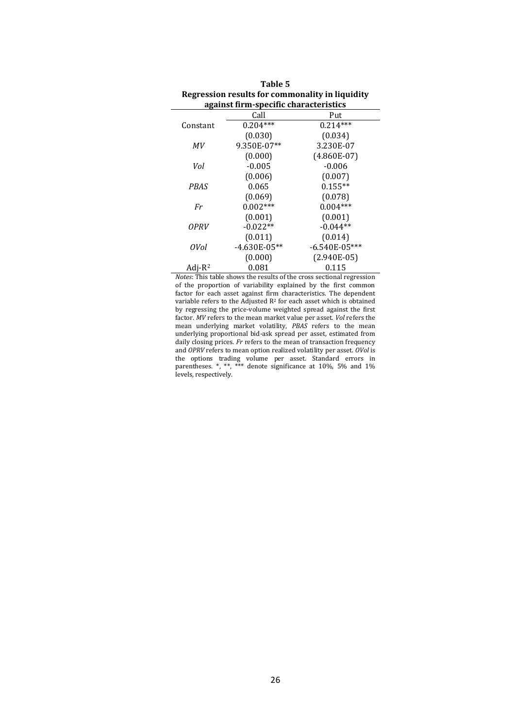| against firm-specific characteristics |                |                 |  |  |  |  |  |  |  |
|---------------------------------------|----------------|-----------------|--|--|--|--|--|--|--|
|                                       | Call           | Put             |  |  |  |  |  |  |  |
| Constant                              | $0.204***$     | $0.214***$      |  |  |  |  |  |  |  |
|                                       | (0.030)        | (0.034)         |  |  |  |  |  |  |  |
| MV                                    | 9.350E-07**    | 3.230E-07       |  |  |  |  |  |  |  |
|                                       | (0.000)        | $(4.860E-07)$   |  |  |  |  |  |  |  |
| Vol                                   | $-0.005$       | $-0.006$        |  |  |  |  |  |  |  |
|                                       | (0.006)        | (0.007)         |  |  |  |  |  |  |  |
| <b>PBAS</b>                           | 0.065          | $0.155**$       |  |  |  |  |  |  |  |
|                                       | (0.069)        | (0.078)         |  |  |  |  |  |  |  |
| Fr                                    | $0.002***$     | $0.004***$      |  |  |  |  |  |  |  |
|                                       | (0.001)        | (0.001)         |  |  |  |  |  |  |  |
| OPRV                                  | $-0.022**$     | $-0.044**$      |  |  |  |  |  |  |  |
|                                       | (0.011)        | (0.014)         |  |  |  |  |  |  |  |
| 0Vol                                  | $-4.630E-05**$ | $-6.540E-05***$ |  |  |  |  |  |  |  |
|                                       | (0.000)        | $(2.940E-05)$   |  |  |  |  |  |  |  |
| Adj- $R^2$                            | 0.081          | 0.115           |  |  |  |  |  |  |  |

| Table 5                                         |
|-------------------------------------------------|
| Regression results for commonality in liquidity |
| against firm-specific characteristics           |

L,

*Notes*: This table shows the results of the cross sectional regression of the proportion of variability explained by the first common factor for each asset against firm characteristics. The dependent variable refers to the Adjusted  $R<sup>2</sup>$  for each asset which is obtained by regressing the price-volume weighted spread against the first factor. *MV* refers to the mean market value per asset. *Vol* refers the mean underlying market volatility, *PBAS* refers to the mean underlying proportional bid-ask spread per asset, estimated from daily closing prices. *Fr* refers to the mean of transaction frequency and *OPRV* refers to mean option realized volatility per asset. *OVol* is the options trading volume per asset. Standard errors in parentheses. \*, \*\*, \*\*\* denote significance at 10%, 5% and 1% levels, respectively.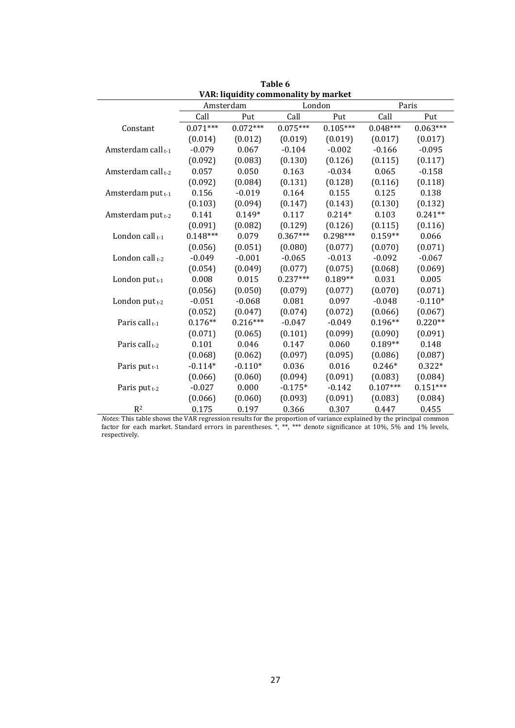| VAR: hquidhy commonanty by market |            |            |            |            |            |            |  |  |  |  |
|-----------------------------------|------------|------------|------------|------------|------------|------------|--|--|--|--|
|                                   |            | Amsterdam  |            | London     | Paris      |            |  |  |  |  |
|                                   | Call       | Put        | Call       | Put        | Call       | Put        |  |  |  |  |
| Constant                          | $0.071***$ | $0.072***$ | $0.075***$ | $0.105***$ | $0.048***$ | $0.063***$ |  |  |  |  |
|                                   | (0.014)    | (0.012)    | (0.019)    | (0.019)    | (0.017)    | (0.017)    |  |  |  |  |
| Amsterdam call <sub>t-1</sub>     | $-0.079$   | 0.067      | $-0.104$   | $-0.002$   | $-0.166$   | $-0.095$   |  |  |  |  |
|                                   | (0.092)    | (0.083)    | (0.130)    | (0.126)    | (0.115)    | (0.117)    |  |  |  |  |
| Amsterdam call <sub>t-2</sub>     | 0.057      | 0.050      | 0.163      | $-0.034$   | 0.065      | $-0.158$   |  |  |  |  |
|                                   | (0.092)    | (0.084)    | (0.131)    | (0.128)    | (0.116)    | (0.118)    |  |  |  |  |
| Amsterdam put $_{t-1}$            | 0.156      | $-0.019$   | 0.164      | 0.155      | 0.125      | 0.138      |  |  |  |  |
|                                   | (0.103)    | (0.094)    | (0.147)    | (0.143)    | (0.130)    | (0.132)    |  |  |  |  |
| Amsterdam put t-2                 | 0.141      | $0.149*$   | 0.117      | $0.214*$   | 0.103      | $0.241**$  |  |  |  |  |
|                                   | (0.091)    | (0.082)    | (0.129)    | (0.126)    | (0.115)    | (0.116)    |  |  |  |  |
| London call $t-1$                 | $0.148***$ | 0.079      | $0.367***$ | $0.298***$ | $0.159**$  | 0.066      |  |  |  |  |
|                                   | (0.056)    | (0.051)    | (0.080)    | (0.077)    | (0.070)    | (0.071)    |  |  |  |  |
| London call t-2                   | $-0.049$   | $-0.001$   | $-0.065$   | $-0.013$   | $-0.092$   | $-0.067$   |  |  |  |  |
|                                   | (0.054)    | (0.049)    | (0.077)    | (0.075)    | (0.068)    | (0.069)    |  |  |  |  |
| London put $t-1$                  | 0.008      | 0.015      | $0.237***$ | $0.189**$  | 0.031      | 0.005      |  |  |  |  |
|                                   | (0.056)    | (0.050)    | (0.079)    | (0.077)    | (0.070)    | (0.071)    |  |  |  |  |
| London put $t-2$                  | $-0.051$   | $-0.068$   | 0.081      | 0.097      | $-0.048$   | $-0.110*$  |  |  |  |  |
|                                   | (0.052)    | (0.047)    | (0.074)    | (0.072)    | (0.066)    | (0.067)    |  |  |  |  |
| Paris call <sub>t-1</sub>         | $0.176**$  | $0.216***$ | $-0.047$   | $-0.049$   | $0.196**$  | $0.220**$  |  |  |  |  |
|                                   | (0.071)    | (0.065)    | (0.101)    | (0.099)    | (0.090)    | (0.091)    |  |  |  |  |
| Paris call <sub>t-2</sub>         | 0.101      | 0.046      | 0.147      | 0.060      | $0.189**$  | 0.148      |  |  |  |  |
|                                   | (0.068)    | (0.062)    | (0.097)    | (0.095)    | (0.086)    | (0.087)    |  |  |  |  |
| Paris put <sub>t-1</sub>          | $-0.114*$  | $-0.110*$  | 0.036      | 0.016      | $0.246*$   | $0.322*$   |  |  |  |  |
|                                   | (0.066)    | (0.060)    | (0.094)    | (0.091)    | (0.083)    | (0.084)    |  |  |  |  |
| Paris put $t-2$                   | $-0.027$   | 0.000      | $-0.175*$  | $-0.142$   | $0.107***$ | $0.151***$ |  |  |  |  |
|                                   | (0.066)    | (0.060)    | (0.093)    | (0.091)    | (0.083)    | (0.084)    |  |  |  |  |
| R <sup>2</sup>                    | 0.175      | 0.197      | 0.366      | 0.307      | 0.447      | 0.455      |  |  |  |  |

**Table 6 VAR: liquidity commonality by market**

*Notes*: This table shows the VAR regression results for the proportion of variance explained by the principal common factor for each market. Standard errors in parentheses. \*, \*\*, \*\*\* denote significance at 10%, 5% and 1% levels, respectively.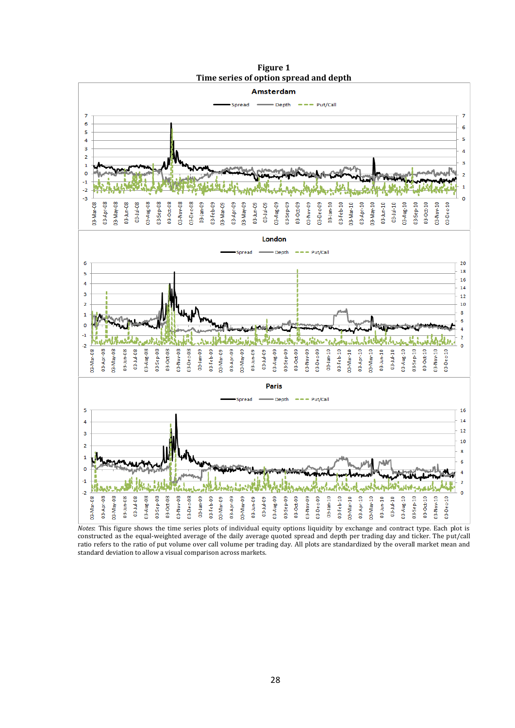

**Figure 1 Time series of option spread and depth**

*Notes*: This figure shows the time series plots of individual equity options liquidity by exchange and contract type. Each plot is constructed as the equal-weighted average of the daily average quoted spread and depth per trading day and ticker. The put/call ratio refers to the ratio of put volume over call volume per trading day. All plots are standardized by the overall market mean and standard deviation to allow a visual comparison across markets.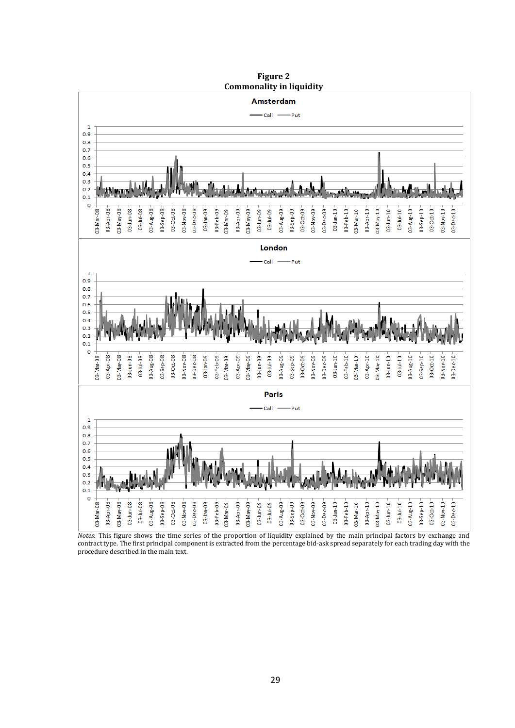

*Notes*: This figure shows the time series of the proportion of liquidity explained by the main principal factors by exchange and contract type. The first principal component is extracted from the percentage bid-ask spread separately for each trading day with the procedure described in the main text.